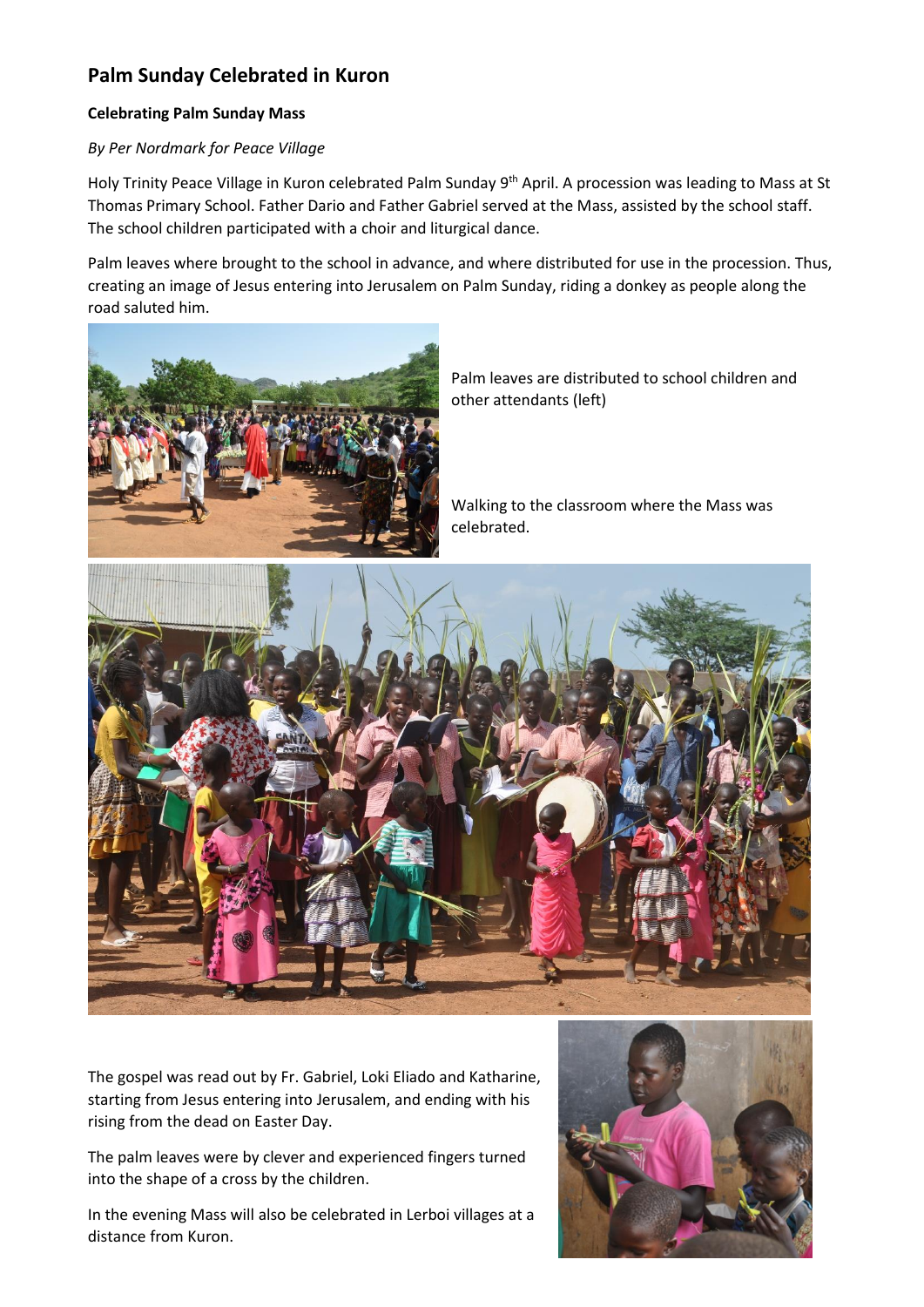## **Palm Sunday Celebrated in Kuron**

## **Celebrating Palm Sunday Mass**

## *By Per Nordmark for Peace Village*

Holy Trinity Peace Village in Kuron celebrated Palm Sunday 9<sup>th</sup> April. A procession was leading to Mass at St Thomas Primary School. Father Dario and Father Gabriel served at the Mass, assisted by the school staff. The school children participated with a choir and liturgical dance.

Palm leaves where brought to the school in advance, and where distributed for use in the procession. Thus, creating an image of Jesus entering into Jerusalem on Palm Sunday, riding a donkey as people along the road saluted him.



Palm leaves are distributed to school children and other attendants (left)

Walking to the classroom where the Mass was celebrated.



The gospel was read out by Fr. Gabriel, Loki Eliado and Katharine, starting from Jesus entering into Jerusalem, and ending with his rising from the dead on Easter Day.

The palm leaves were by clever and experienced fingers turned into the shape of a cross by the children.

In the evening Mass will also be celebrated in Lerboi villages at a distance from Kuron.